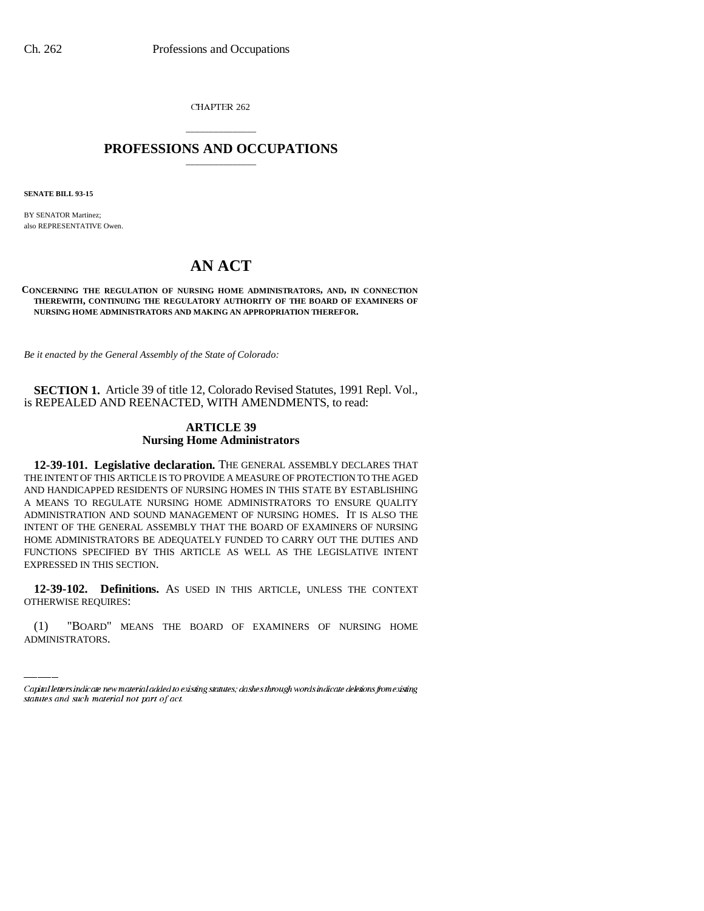CHAPTER 262

# \_\_\_\_\_\_\_\_\_\_\_\_\_\_\_ **PROFESSIONS AND OCCUPATIONS** \_\_\_\_\_\_\_\_\_\_\_\_\_\_\_

**SENATE BILL 93-15**

BY SENATOR Martinez; also REPRESENTATIVE Owen.

# **AN ACT**

**CONCERNING THE REGULATION OF NURSING HOME ADMINISTRATORS, AND, IN CONNECTION THEREWITH, CONTINUING THE REGULATORY AUTHORITY OF THE BOARD OF EXAMINERS OF NURSING HOME ADMINISTRATORS AND MAKING AN APPROPRIATION THEREFOR.**

*Be it enacted by the General Assembly of the State of Colorado:*

**SECTION 1.** Article 39 of title 12, Colorado Revised Statutes, 1991 Repl. Vol., is REPEALED AND REENACTED, WITH AMENDMENTS, to read:

## **ARTICLE 39 Nursing Home Administrators**

**12-39-101. Legislative declaration.** THE GENERAL ASSEMBLY DECLARES THAT THE INTENT OF THIS ARTICLE IS TO PROVIDE A MEASURE OF PROTECTION TO THE AGED AND HANDICAPPED RESIDENTS OF NURSING HOMES IN THIS STATE BY ESTABLISHING A MEANS TO REGULATE NURSING HOME ADMINISTRATORS TO ENSURE QUALITY ADMINISTRATION AND SOUND MANAGEMENT OF NURSING HOMES. IT IS ALSO THE INTENT OF THE GENERAL ASSEMBLY THAT THE BOARD OF EXAMINERS OF NURSING HOME ADMINISTRATORS BE ADEQUATELY FUNDED TO CARRY OUT THE DUTIES AND FUNCTIONS SPECIFIED BY THIS ARTICLE AS WELL AS THE LEGISLATIVE INTENT EXPRESSED IN THIS SECTION.

 **12-39-102. Definitions.** AS USED IN THIS ARTICLE, UNLESS THE CONTEXT OTHERWISE REQUIRES:

(1) "BOARD" MEANS THE BOARD OF EXAMINERS OF NURSING HOME ADMINISTRATORS.

Capital letters indicate new material added to existing statutes; dashes through words indicate deletions from existing statutes and such material not part of act.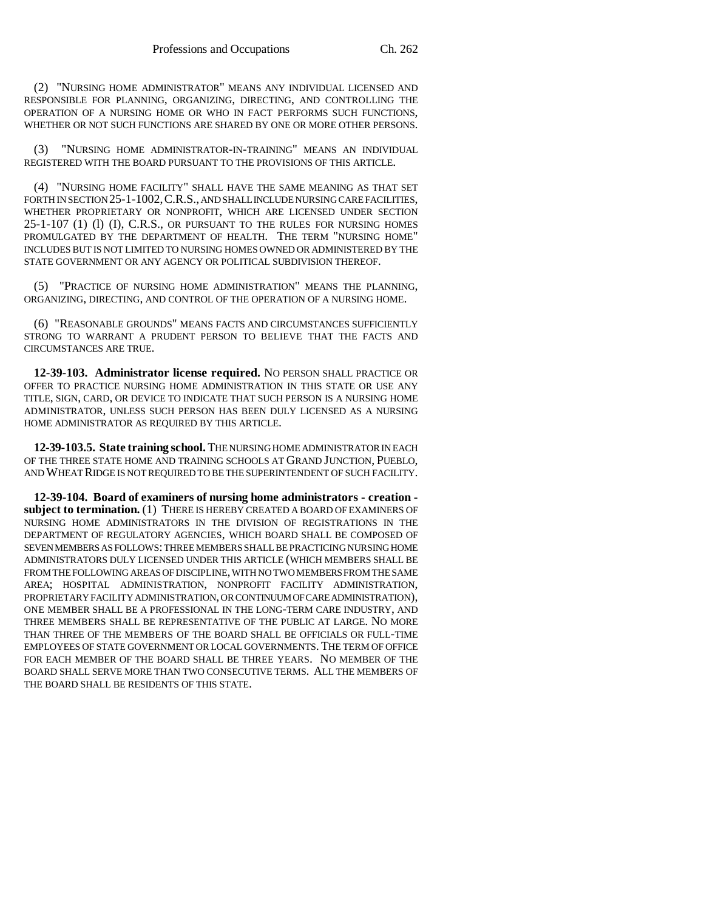(2) "NURSING HOME ADMINISTRATOR" MEANS ANY INDIVIDUAL LICENSED AND RESPONSIBLE FOR PLANNING, ORGANIZING, DIRECTING, AND CONTROLLING THE OPERATION OF A NURSING HOME OR WHO IN FACT PERFORMS SUCH FUNCTIONS, WHETHER OR NOT SUCH FUNCTIONS ARE SHARED BY ONE OR MORE OTHER PERSONS.

(3) "NURSING HOME ADMINISTRATOR-IN-TRAINING" MEANS AN INDIVIDUAL REGISTERED WITH THE BOARD PURSUANT TO THE PROVISIONS OF THIS ARTICLE.

(4) "NURSING HOME FACILITY" SHALL HAVE THE SAME MEANING AS THAT SET FORTH IN SECTION 25-1-1002, C.R.S., AND SHALL INCLUDE NURSING CARE FACILITIES, WHETHER PROPRIETARY OR NONPROFIT, WHICH ARE LICENSED UNDER SECTION 25-1-107 (1) (l) (I), C.R.S., OR PURSUANT TO THE RULES FOR NURSING HOMES PROMULGATED BY THE DEPARTMENT OF HEALTH. THE TERM "NURSING HOME" INCLUDES BUT IS NOT LIMITED TO NURSING HOMES OWNED OR ADMINISTERED BY THE STATE GOVERNMENT OR ANY AGENCY OR POLITICAL SUBDIVISION THEREOF.

(5) "PRACTICE OF NURSING HOME ADMINISTRATION" MEANS THE PLANNING, ORGANIZING, DIRECTING, AND CONTROL OF THE OPERATION OF A NURSING HOME.

(6) "REASONABLE GROUNDS" MEANS FACTS AND CIRCUMSTANCES SUFFICIENTLY STRONG TO WARRANT A PRUDENT PERSON TO BELIEVE THAT THE FACTS AND CIRCUMSTANCES ARE TRUE.

**12-39-103. Administrator license required.** NO PERSON SHALL PRACTICE OR OFFER TO PRACTICE NURSING HOME ADMINISTRATION IN THIS STATE OR USE ANY TITLE, SIGN, CARD, OR DEVICE TO INDICATE THAT SUCH PERSON IS A NURSING HOME ADMINISTRATOR, UNLESS SUCH PERSON HAS BEEN DULY LICENSED AS A NURSING HOME ADMINISTRATOR AS REQUIRED BY THIS ARTICLE.

**12-39-103.5. State training school.** THE NURSING HOME ADMINISTRATOR IN EACH OF THE THREE STATE HOME AND TRAINING SCHOOLS AT GRAND JUNCTION, PUEBLO, AND WHEAT RIDGE IS NOT REQUIRED TO BE THE SUPERINTENDENT OF SUCH FACILITY.

**12-39-104. Board of examiners of nursing home administrators - creation subject to termination.** (1) THERE IS HEREBY CREATED A BOARD OF EXAMINERS OF NURSING HOME ADMINISTRATORS IN THE DIVISION OF REGISTRATIONS IN THE DEPARTMENT OF REGULATORY AGENCIES, WHICH BOARD SHALL BE COMPOSED OF SEVEN MEMBERS AS FOLLOWS: THREE MEMBERS SHALL BE PRACTICING NURSING HOME ADMINISTRATORS DULY LICENSED UNDER THIS ARTICLE (WHICH MEMBERS SHALL BE FROM THE FOLLOWING AREAS OF DISCIPLINE, WITH NO TWO MEMBERS FROM THE SAME AREA; HOSPITAL ADMINISTRATION, NONPROFIT FACILITY ADMINISTRATION, PROPRIETARY FACILITY ADMINISTRATION, OR CONTINUUM OF CARE ADMINISTRATION), ONE MEMBER SHALL BE A PROFESSIONAL IN THE LONG-TERM CARE INDUSTRY, AND THREE MEMBERS SHALL BE REPRESENTATIVE OF THE PUBLIC AT LARGE. NO MORE THAN THREE OF THE MEMBERS OF THE BOARD SHALL BE OFFICIALS OR FULL-TIME EMPLOYEES OF STATE GOVERNMENT OR LOCAL GOVERNMENTS. THE TERM OF OFFICE FOR EACH MEMBER OF THE BOARD SHALL BE THREE YEARS. NO MEMBER OF THE BOARD SHALL SERVE MORE THAN TWO CONSECUTIVE TERMS. ALL THE MEMBERS OF THE BOARD SHALL BE RESIDENTS OF THIS STATE.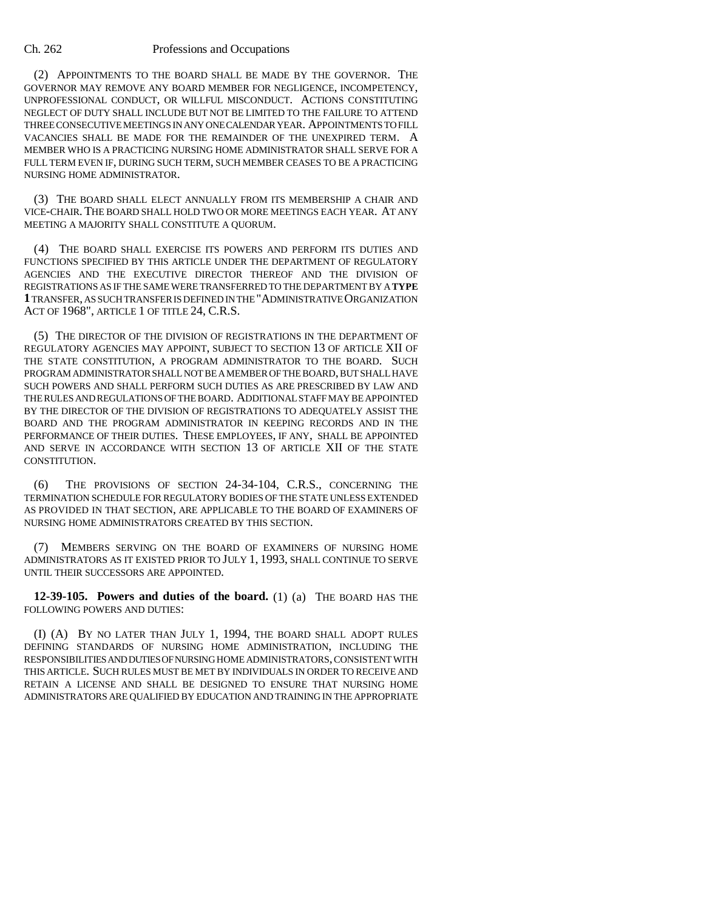(2) APPOINTMENTS TO THE BOARD SHALL BE MADE BY THE GOVERNOR. THE GOVERNOR MAY REMOVE ANY BOARD MEMBER FOR NEGLIGENCE, INCOMPETENCY, UNPROFESSIONAL CONDUCT, OR WILLFUL MISCONDUCT. ACTIONS CONSTITUTING NEGLECT OF DUTY SHALL INCLUDE BUT NOT BE LIMITED TO THE FAILURE TO ATTEND THREE CONSECUTIVE MEETINGS IN ANY ONE CALENDAR YEAR. APPOINTMENTS TO FILL VACANCIES SHALL BE MADE FOR THE REMAINDER OF THE UNEXPIRED TERM. A MEMBER WHO IS A PRACTICING NURSING HOME ADMINISTRATOR SHALL SERVE FOR A FULL TERM EVEN IF, DURING SUCH TERM, SUCH MEMBER CEASES TO BE A PRACTICING NURSING HOME ADMINISTRATOR.

(3) THE BOARD SHALL ELECT ANNUALLY FROM ITS MEMBERSHIP A CHAIR AND VICE-CHAIR. THE BOARD SHALL HOLD TWO OR MORE MEETINGS EACH YEAR. AT ANY MEETING A MAJORITY SHALL CONSTITUTE A QUORUM.

(4) THE BOARD SHALL EXERCISE ITS POWERS AND PERFORM ITS DUTIES AND FUNCTIONS SPECIFIED BY THIS ARTICLE UNDER THE DEPARTMENT OF REGULATORY AGENCIES AND THE EXECUTIVE DIRECTOR THEREOF AND THE DIVISION OF REGISTRATIONS AS IF THE SAME WERE TRANSFERRED TO THE DEPARTMENT BY A **TYPE 1** TRANSFER, AS SUCH TRANSFER IS DEFINED IN THE "ADMINISTRATIVE ORGANIZATION ACT OF 1968", ARTICLE 1 OF TITLE 24, C.R.S.

(5) THE DIRECTOR OF THE DIVISION OF REGISTRATIONS IN THE DEPARTMENT OF REGULATORY AGENCIES MAY APPOINT, SUBJECT TO SECTION 13 OF ARTICLE XII OF THE STATE CONSTITUTION, A PROGRAM ADMINISTRATOR TO THE BOARD. SUCH PROGRAM ADMINISTRATOR SHALL NOT BE A MEMBER OF THE BOARD, BUT SHALL HAVE SUCH POWERS AND SHALL PERFORM SUCH DUTIES AS ARE PRESCRIBED BY LAW AND THE RULES AND REGULATIONS OF THE BOARD. ADDITIONAL STAFF MAY BE APPOINTED BY THE DIRECTOR OF THE DIVISION OF REGISTRATIONS TO ADEQUATELY ASSIST THE BOARD AND THE PROGRAM ADMINISTRATOR IN KEEPING RECORDS AND IN THE PERFORMANCE OF THEIR DUTIES. THESE EMPLOYEES, IF ANY, SHALL BE APPOINTED AND SERVE IN ACCORDANCE WITH SECTION 13 OF ARTICLE XII OF THE STATE CONSTITUTION.

(6) THE PROVISIONS OF SECTION 24-34-104, C.R.S., CONCERNING THE TERMINATION SCHEDULE FOR REGULATORY BODIES OF THE STATE UNLESS EXTENDED AS PROVIDED IN THAT SECTION, ARE APPLICABLE TO THE BOARD OF EXAMINERS OF NURSING HOME ADMINISTRATORS CREATED BY THIS SECTION.

(7) MEMBERS SERVING ON THE BOARD OF EXAMINERS OF NURSING HOME ADMINISTRATORS AS IT EXISTED PRIOR TO JULY 1, 1993, SHALL CONTINUE TO SERVE UNTIL THEIR SUCCESSORS ARE APPOINTED.

**12-39-105. Powers and duties of the board.** (1) (a) THE BOARD HAS THE FOLLOWING POWERS AND DUTIES:

(I) (A) BY NO LATER THAN JULY 1, 1994, THE BOARD SHALL ADOPT RULES DEFINING STANDARDS OF NURSING HOME ADMINISTRATION, INCLUDING THE RESPONSIBILITIES AND DUTIES OF NURSING HOME ADMINISTRATORS, CONSISTENT WITH THIS ARTICLE. SUCH RULES MUST BE MET BY INDIVIDUALS IN ORDER TO RECEIVE AND RETAIN A LICENSE AND SHALL BE DESIGNED TO ENSURE THAT NURSING HOME ADMINISTRATORS ARE QUALIFIED BY EDUCATION AND TRAINING IN THE APPROPRIATE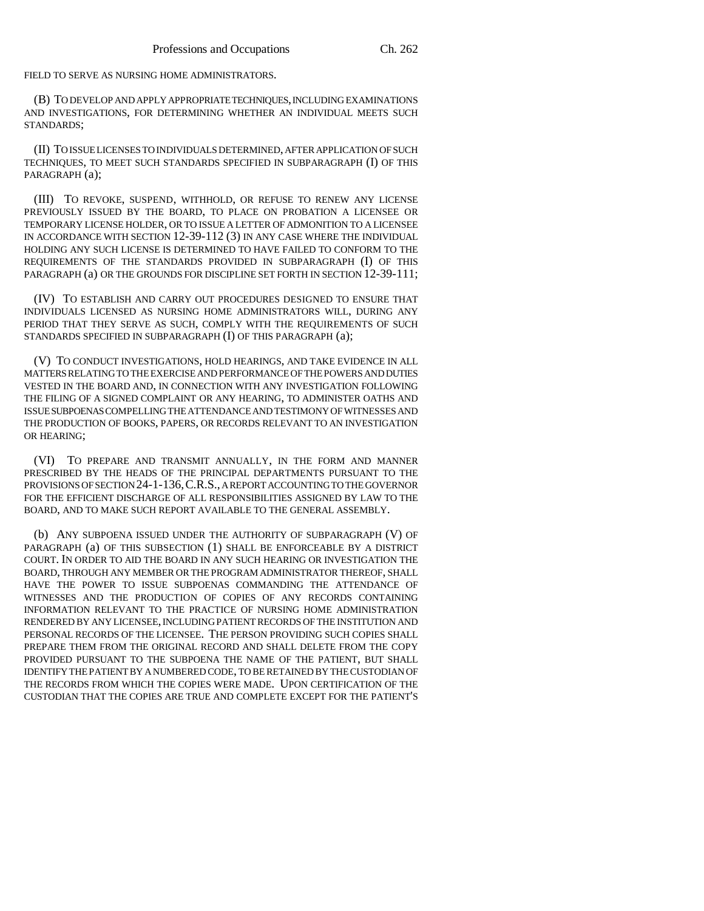FIELD TO SERVE AS NURSING HOME ADMINISTRATORS.

(B) TO DEVELOP AND APPLY APPROPRIATE TECHNIQUES, INCLUDING EXAMINATIONS AND INVESTIGATIONS, FOR DETERMINING WHETHER AN INDIVIDUAL MEETS SUCH STANDARDS;

(II) TO ISSUE LICENSES TO INDIVIDUALS DETERMINED, AFTER APPLICATION OF SUCH TECHNIQUES, TO MEET SUCH STANDARDS SPECIFIED IN SUBPARAGRAPH (I) OF THIS PARAGRAPH (a);

(III) TO REVOKE, SUSPEND, WITHHOLD, OR REFUSE TO RENEW ANY LICENSE PREVIOUSLY ISSUED BY THE BOARD, TO PLACE ON PROBATION A LICENSEE OR TEMPORARY LICENSE HOLDER, OR TO ISSUE A LETTER OF ADMONITION TO A LICENSEE IN ACCORDANCE WITH SECTION 12-39-112 (3) IN ANY CASE WHERE THE INDIVIDUAL HOLDING ANY SUCH LICENSE IS DETERMINED TO HAVE FAILED TO CONFORM TO THE REQUIREMENTS OF THE STANDARDS PROVIDED IN SUBPARAGRAPH (I) OF THIS PARAGRAPH (a) OR THE GROUNDS FOR DISCIPLINE SET FORTH IN SECTION 12-39-111;

(IV) TO ESTABLISH AND CARRY OUT PROCEDURES DESIGNED TO ENSURE THAT INDIVIDUALS LICENSED AS NURSING HOME ADMINISTRATORS WILL, DURING ANY PERIOD THAT THEY SERVE AS SUCH, COMPLY WITH THE REQUIREMENTS OF SUCH STANDARDS SPECIFIED IN SUBPARAGRAPH (I) OF THIS PARAGRAPH (a);

(V) TO CONDUCT INVESTIGATIONS, HOLD HEARINGS, AND TAKE EVIDENCE IN ALL MATTERS RELATING TO THE EXERCISE AND PERFORMANCE OF THE POWERS AND DUTIES VESTED IN THE BOARD AND, IN CONNECTION WITH ANY INVESTIGATION FOLLOWING THE FILING OF A SIGNED COMPLAINT OR ANY HEARING, TO ADMINISTER OATHS AND ISSUE SUBPOENAS COMPELLING THE ATTENDANCE AND TESTIMONY OF WITNESSES AND THE PRODUCTION OF BOOKS, PAPERS, OR RECORDS RELEVANT TO AN INVESTIGATION OR HEARING;

(VI) TO PREPARE AND TRANSMIT ANNUALLY, IN THE FORM AND MANNER PRESCRIBED BY THE HEADS OF THE PRINCIPAL DEPARTMENTS PURSUANT TO THE PROVISIONS OF SECTION 24-1-136,C.R.S., A REPORT ACCOUNTING TO THE GOVERNOR FOR THE EFFICIENT DISCHARGE OF ALL RESPONSIBILITIES ASSIGNED BY LAW TO THE BOARD, AND TO MAKE SUCH REPORT AVAILABLE TO THE GENERAL ASSEMBLY.

(b) ANY SUBPOENA ISSUED UNDER THE AUTHORITY OF SUBPARAGRAPH (V) OF PARAGRAPH (a) OF THIS SUBSECTION (1) SHALL BE ENFORCEABLE BY A DISTRICT COURT. IN ORDER TO AID THE BOARD IN ANY SUCH HEARING OR INVESTIGATION THE BOARD, THROUGH ANY MEMBER OR THE PROGRAM ADMINISTRATOR THEREOF, SHALL HAVE THE POWER TO ISSUE SUBPOENAS COMMANDING THE ATTENDANCE OF WITNESSES AND THE PRODUCTION OF COPIES OF ANY RECORDS CONTAINING INFORMATION RELEVANT TO THE PRACTICE OF NURSING HOME ADMINISTRATION RENDERED BY ANY LICENSEE, INCLUDING PATIENT RECORDS OF THE INSTITUTION AND PERSONAL RECORDS OF THE LICENSEE. THE PERSON PROVIDING SUCH COPIES SHALL PREPARE THEM FROM THE ORIGINAL RECORD AND SHALL DELETE FROM THE COPY PROVIDED PURSUANT TO THE SUBPOENA THE NAME OF THE PATIENT, BUT SHALL IDENTIFY THE PATIENT BY A NUMBERED CODE, TO BE RETAINED BY THE CUSTODIAN OF THE RECORDS FROM WHICH THE COPIES WERE MADE. UPON CERTIFICATION OF THE CUSTODIAN THAT THE COPIES ARE TRUE AND COMPLETE EXCEPT FOR THE PATIENT'S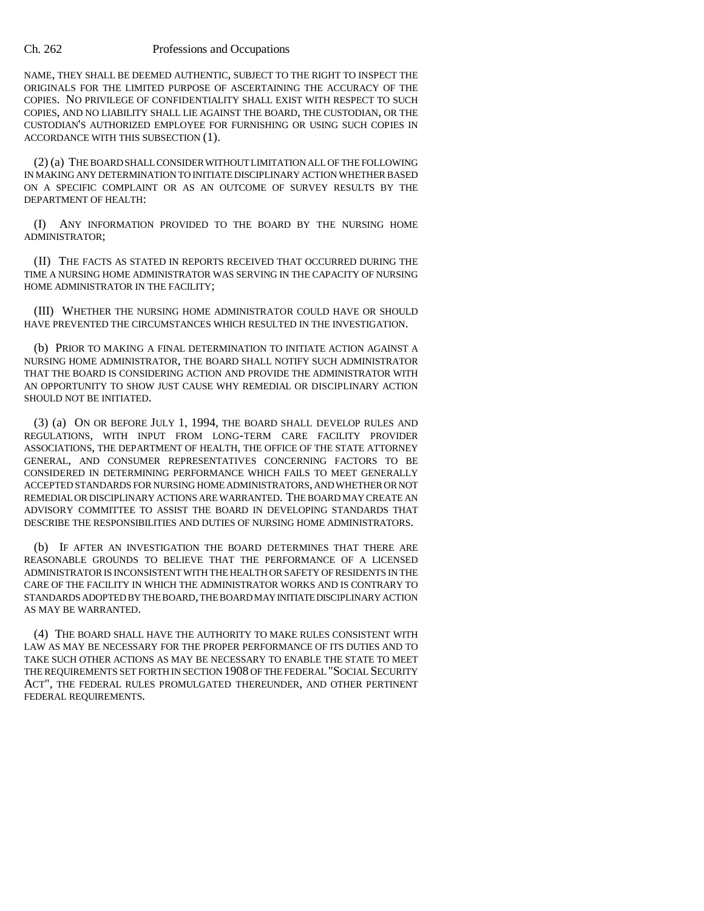NAME, THEY SHALL BE DEEMED AUTHENTIC, SUBJECT TO THE RIGHT TO INSPECT THE ORIGINALS FOR THE LIMITED PURPOSE OF ASCERTAINING THE ACCURACY OF THE COPIES. NO PRIVILEGE OF CONFIDENTIALITY SHALL EXIST WITH RESPECT TO SUCH COPIES, AND NO LIABILITY SHALL LIE AGAINST THE BOARD, THE CUSTODIAN, OR THE CUSTODIAN'S AUTHORIZED EMPLOYEE FOR FURNISHING OR USING SUCH COPIES IN ACCORDANCE WITH THIS SUBSECTION (1).

(2) (a) THE BOARD SHALL CONSIDER WITHOUT LIMITATION ALL OF THE FOLLOWING IN MAKING ANY DETERMINATION TO INITIATE DISCIPLINARY ACTION WHETHER BASED ON A SPECIFIC COMPLAINT OR AS AN OUTCOME OF SURVEY RESULTS BY THE DEPARTMENT OF HEALTH:

(I) ANY INFORMATION PROVIDED TO THE BOARD BY THE NURSING HOME ADMINISTRATOR;

(II) THE FACTS AS STATED IN REPORTS RECEIVED THAT OCCURRED DURING THE TIME A NURSING HOME ADMINISTRATOR WAS SERVING IN THE CAPACITY OF NURSING HOME ADMINISTRATOR IN THE FACILITY;

(III) WHETHER THE NURSING HOME ADMINISTRATOR COULD HAVE OR SHOULD HAVE PREVENTED THE CIRCUMSTANCES WHICH RESULTED IN THE INVESTIGATION.

(b) PRIOR TO MAKING A FINAL DETERMINATION TO INITIATE ACTION AGAINST A NURSING HOME ADMINISTRATOR, THE BOARD SHALL NOTIFY SUCH ADMINISTRATOR THAT THE BOARD IS CONSIDERING ACTION AND PROVIDE THE ADMINISTRATOR WITH AN OPPORTUNITY TO SHOW JUST CAUSE WHY REMEDIAL OR DISCIPLINARY ACTION SHOULD NOT BE INITIATED.

(3) (a) ON OR BEFORE JULY 1, 1994, THE BOARD SHALL DEVELOP RULES AND REGULATIONS, WITH INPUT FROM LONG-TERM CARE FACILITY PROVIDER ASSOCIATIONS, THE DEPARTMENT OF HEALTH, THE OFFICE OF THE STATE ATTORNEY GENERAL, AND CONSUMER REPRESENTATIVES CONCERNING FACTORS TO BE CONSIDERED IN DETERMINING PERFORMANCE WHICH FAILS TO MEET GENERALLY ACCEPTED STANDARDS FOR NURSING HOME ADMINISTRATORS, AND WHETHER OR NOT REMEDIAL OR DISCIPLINARY ACTIONS ARE WARRANTED. THE BOARD MAY CREATE AN ADVISORY COMMITTEE TO ASSIST THE BOARD IN DEVELOPING STANDARDS THAT DESCRIBE THE RESPONSIBILITIES AND DUTIES OF NURSING HOME ADMINISTRATORS.

(b) IF AFTER AN INVESTIGATION THE BOARD DETERMINES THAT THERE ARE REASONABLE GROUNDS TO BELIEVE THAT THE PERFORMANCE OF A LICENSED ADMINISTRATOR IS INCONSISTENT WITH THE HEALTH OR SAFETY OF RESIDENTS IN THE CARE OF THE FACILITY IN WHICH THE ADMINISTRATOR WORKS AND IS CONTRARY TO STANDARDS ADOPTED BY THE BOARD, THE BOARD MAY INITIATE DISCIPLINARY ACTION AS MAY BE WARRANTED.

(4) THE BOARD SHALL HAVE THE AUTHORITY TO MAKE RULES CONSISTENT WITH LAW AS MAY BE NECESSARY FOR THE PROPER PERFORMANCE OF ITS DUTIES AND TO TAKE SUCH OTHER ACTIONS AS MAY BE NECESSARY TO ENABLE THE STATE TO MEET THE REQUIREMENTS SET FORTH IN SECTION 1908 OF THE FEDERAL "SOCIAL SECURITY ACT", THE FEDERAL RULES PROMULGATED THEREUNDER, AND OTHER PERTINENT FEDERAL REQUIREMENTS.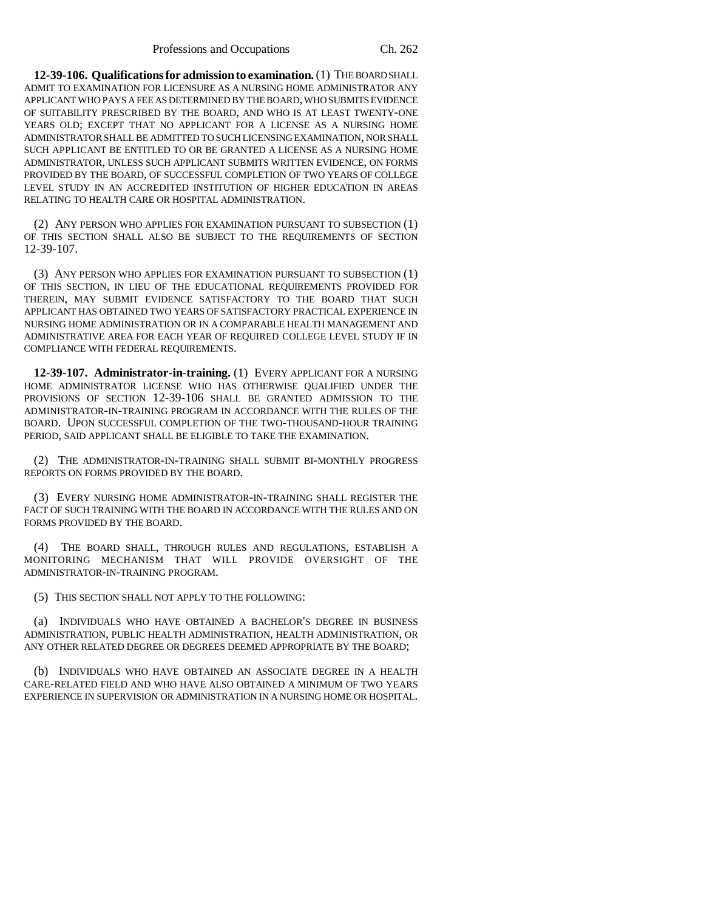**12-39-106. Qualifications for admission to examination.** (1) THE BOARD SHALL ADMIT TO EXAMINATION FOR LICENSURE AS A NURSING HOME ADMINISTRATOR ANY APPLICANT WHO PAYS A FEE AS DETERMINED BY THE BOARD, WHO SUBMITS EVIDENCE OF SUITABILITY PRESCRIBED BY THE BOARD, AND WHO IS AT LEAST TWENTY-ONE YEARS OLD; EXCEPT THAT NO APPLICANT FOR A LICENSE AS A NURSING HOME ADMINISTRATOR SHALL BE ADMITTED TO SUCH LICENSING EXAMINATION, NOR SHALL SUCH APPLICANT BE ENTITLED TO OR BE GRANTED A LICENSE AS A NURSING HOME ADMINISTRATOR, UNLESS SUCH APPLICANT SUBMITS WRITTEN EVIDENCE, ON FORMS PROVIDED BY THE BOARD, OF SUCCESSFUL COMPLETION OF TWO YEARS OF COLLEGE LEVEL STUDY IN AN ACCREDITED INSTITUTION OF HIGHER EDUCATION IN AREAS RELATING TO HEALTH CARE OR HOSPITAL ADMINISTRATION.

(2) ANY PERSON WHO APPLIES FOR EXAMINATION PURSUANT TO SUBSECTION (1) OF THIS SECTION SHALL ALSO BE SUBJECT TO THE REQUIREMENTS OF SECTION 12-39-107.

(3) ANY PERSON WHO APPLIES FOR EXAMINATION PURSUANT TO SUBSECTION (1) OF THIS SECTION, IN LIEU OF THE EDUCATIONAL REQUIREMENTS PROVIDED FOR THEREIN, MAY SUBMIT EVIDENCE SATISFACTORY TO THE BOARD THAT SUCH APPLICANT HAS OBTAINED TWO YEARS OF SATISFACTORY PRACTICAL EXPERIENCE IN NURSING HOME ADMINISTRATION OR IN A COMPARABLE HEALTH MANAGEMENT AND ADMINISTRATIVE AREA FOR EACH YEAR OF REQUIRED COLLEGE LEVEL STUDY IF IN COMPLIANCE WITH FEDERAL REQUIREMENTS.

**12-39-107. Administrator-in-training.** (1) EVERY APPLICANT FOR A NURSING HOME ADMINISTRATOR LICENSE WHO HAS OTHERWISE QUALIFIED UNDER THE PROVISIONS OF SECTION 12-39-106 SHALL BE GRANTED ADMISSION TO THE ADMINISTRATOR-IN-TRAINING PROGRAM IN ACCORDANCE WITH THE RULES OF THE BOARD. UPON SUCCESSFUL COMPLETION OF THE TWO-THOUSAND-HOUR TRAINING PERIOD, SAID APPLICANT SHALL BE ELIGIBLE TO TAKE THE EXAMINATION.

(2) THE ADMINISTRATOR-IN-TRAINING SHALL SUBMIT BI-MONTHLY PROGRESS REPORTS ON FORMS PROVIDED BY THE BOARD.

(3) EVERY NURSING HOME ADMINISTRATOR-IN-TRAINING SHALL REGISTER THE FACT OF SUCH TRAINING WITH THE BOARD IN ACCORDANCE WITH THE RULES AND ON FORMS PROVIDED BY THE BOARD.

(4) THE BOARD SHALL, THROUGH RULES AND REGULATIONS, ESTABLISH A MONITORING MECHANISM THAT WILL PROVIDE OVERSIGHT OF THE ADMINISTRATOR-IN-TRAINING PROGRAM.

(5) THIS SECTION SHALL NOT APPLY TO THE FOLLOWING:

(a) INDIVIDUALS WHO HAVE OBTAINED A BACHELOR'S DEGREE IN BUSINESS ADMINISTRATION, PUBLIC HEALTH ADMINISTRATION, HEALTH ADMINISTRATION, OR ANY OTHER RELATED DEGREE OR DEGREES DEEMED APPROPRIATE BY THE BOARD;

(b) INDIVIDUALS WHO HAVE OBTAINED AN ASSOCIATE DEGREE IN A HEALTH CARE-RELATED FIELD AND WHO HAVE ALSO OBTAINED A MINIMUM OF TWO YEARS EXPERIENCE IN SUPERVISION OR ADMINISTRATION IN A NURSING HOME OR HOSPITAL.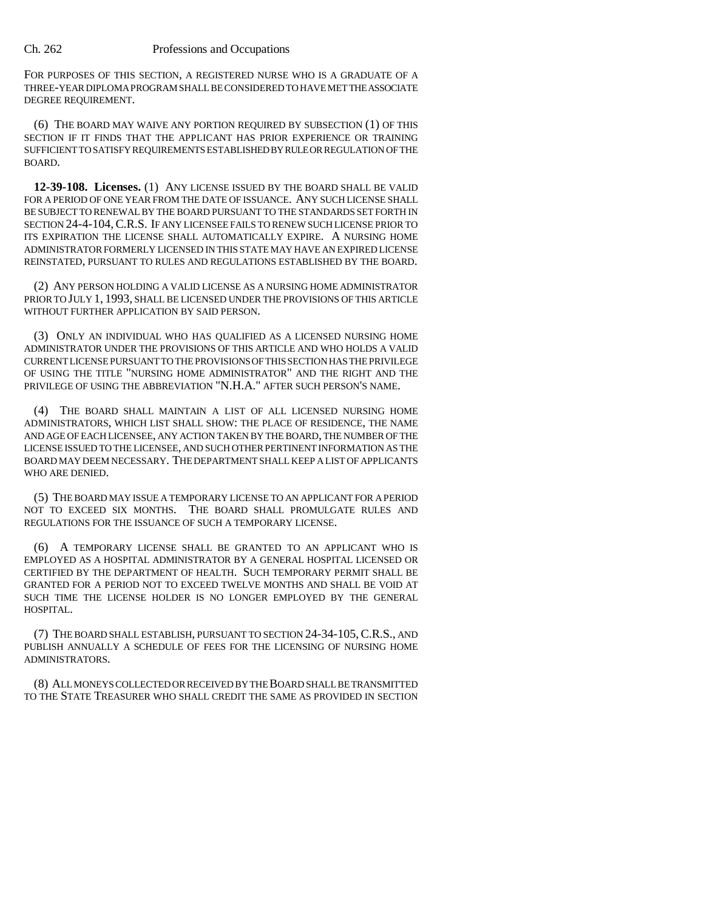FOR PURPOSES OF THIS SECTION, A REGISTERED NURSE WHO IS A GRADUATE OF A THREE-YEAR DIPLOMA PROGRAM SHALL BE CONSIDERED TO HAVE MET THE ASSOCIATE DEGREE REQUIREMENT.

(6) THE BOARD MAY WAIVE ANY PORTION REQUIRED BY SUBSECTION (1) OF THIS SECTION IF IT FINDS THAT THE APPLICANT HAS PRIOR EXPERIENCE OR TRAINING SUFFICIENT TO SATISFY REQUIREMENTS ESTABLISHED BY RULE OR REGULATION OF THE BOARD.

**12-39-108. Licenses.** (1) ANY LICENSE ISSUED BY THE BOARD SHALL BE VALID FOR A PERIOD OF ONE YEAR FROM THE DATE OF ISSUANCE. ANY SUCH LICENSE SHALL BE SUBJECT TO RENEWAL BY THE BOARD PURSUANT TO THE STANDARDS SET FORTH IN SECTION 24-4-104,C.R.S. IF ANY LICENSEE FAILS TO RENEW SUCH LICENSE PRIOR TO ITS EXPIRATION THE LICENSE SHALL AUTOMATICALLY EXPIRE. A NURSING HOME ADMINISTRATOR FORMERLY LICENSED IN THIS STATE MAY HAVE AN EXPIRED LICENSE REINSTATED, PURSUANT TO RULES AND REGULATIONS ESTABLISHED BY THE BOARD.

(2) ANY PERSON HOLDING A VALID LICENSE AS A NURSING HOME ADMINISTRATOR PRIOR TO JULY 1, 1993, SHALL BE LICENSED UNDER THE PROVISIONS OF THIS ARTICLE WITHOUT FURTHER APPLICATION BY SAID PERSON.

(3) ONLY AN INDIVIDUAL WHO HAS QUALIFIED AS A LICENSED NURSING HOME ADMINISTRATOR UNDER THE PROVISIONS OF THIS ARTICLE AND WHO HOLDS A VALID CURRENT LICENSE PURSUANT TO THE PROVISIONS OF THIS SECTION HAS THE PRIVILEGE OF USING THE TITLE "NURSING HOME ADMINISTRATOR" AND THE RIGHT AND THE PRIVILEGE OF USING THE ABBREVIATION "N.H.A." AFTER SUCH PERSON'S NAME.

(4) THE BOARD SHALL MAINTAIN A LIST OF ALL LICENSED NURSING HOME ADMINISTRATORS, WHICH LIST SHALL SHOW: THE PLACE OF RESIDENCE, THE NAME AND AGE OF EACH LICENSEE, ANY ACTION TAKEN BY THE BOARD, THE NUMBER OF THE LICENSE ISSUED TO THE LICENSEE, AND SUCH OTHER PERTINENT INFORMATION AS THE BOARD MAY DEEM NECESSARY. THE DEPARTMENT SHALL KEEP A LIST OF APPLICANTS WHO ARE DENIED.

(5) THE BOARD MAY ISSUE A TEMPORARY LICENSE TO AN APPLICANT FOR A PERIOD NOT TO EXCEED SIX MONTHS. THE BOARD SHALL PROMULGATE RULES AND REGULATIONS FOR THE ISSUANCE OF SUCH A TEMPORARY LICENSE.

(6) A TEMPORARY LICENSE SHALL BE GRANTED TO AN APPLICANT WHO IS EMPLOYED AS A HOSPITAL ADMINISTRATOR BY A GENERAL HOSPITAL LICENSED OR CERTIFIED BY THE DEPARTMENT OF HEALTH. SUCH TEMPORARY PERMIT SHALL BE GRANTED FOR A PERIOD NOT TO EXCEED TWELVE MONTHS AND SHALL BE VOID AT SUCH TIME THE LICENSE HOLDER IS NO LONGER EMPLOYED BY THE GENERAL HOSPITAL.

(7) THE BOARD SHALL ESTABLISH, PURSUANT TO SECTION 24-34-105,C.R.S., AND PUBLISH ANNUALLY A SCHEDULE OF FEES FOR THE LICENSING OF NURSING HOME ADMINISTRATORS.

(8) ALL MONEYS COLLECTED OR RECEIVED BY THE BOARD SHALL BE TRANSMITTED TO THE STATE TREASURER WHO SHALL CREDIT THE SAME AS PROVIDED IN SECTION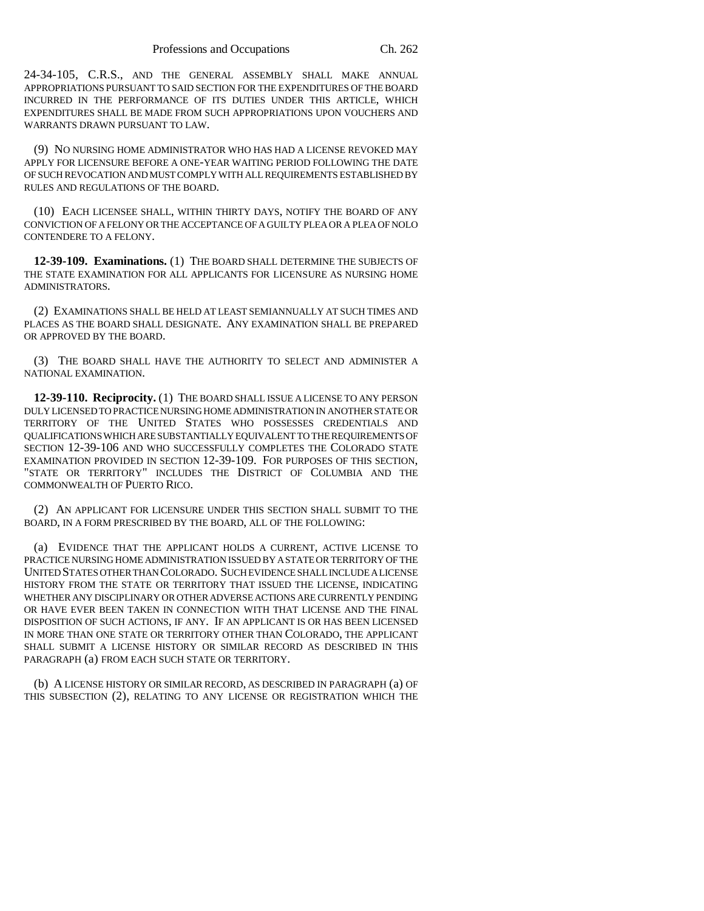24-34-105, C.R.S., AND THE GENERAL ASSEMBLY SHALL MAKE ANNUAL APPROPRIATIONS PURSUANT TO SAID SECTION FOR THE EXPENDITURES OF THE BOARD INCURRED IN THE PERFORMANCE OF ITS DUTIES UNDER THIS ARTICLE, WHICH EXPENDITURES SHALL BE MADE FROM SUCH APPROPRIATIONS UPON VOUCHERS AND WARRANTS DRAWN PURSUANT TO LAW.

(9) NO NURSING HOME ADMINISTRATOR WHO HAS HAD A LICENSE REVOKED MAY APPLY FOR LICENSURE BEFORE A ONE-YEAR WAITING PERIOD FOLLOWING THE DATE OF SUCH REVOCATION AND MUST COMPLY WITH ALL REQUIREMENTS ESTABLISHED BY RULES AND REGULATIONS OF THE BOARD.

(10) EACH LICENSEE SHALL, WITHIN THIRTY DAYS, NOTIFY THE BOARD OF ANY CONVICTION OF A FELONY OR THE ACCEPTANCE OF A GUILTY PLEA OR A PLEA OF NOLO CONTENDERE TO A FELONY.

**12-39-109. Examinations.** (1) THE BOARD SHALL DETERMINE THE SUBJECTS OF THE STATE EXAMINATION FOR ALL APPLICANTS FOR LICENSURE AS NURSING HOME ADMINISTRATORS.

(2) EXAMINATIONS SHALL BE HELD AT LEAST SEMIANNUALLY AT SUCH TIMES AND PLACES AS THE BOARD SHALL DESIGNATE. ANY EXAMINATION SHALL BE PREPARED OR APPROVED BY THE BOARD.

(3) THE BOARD SHALL HAVE THE AUTHORITY TO SELECT AND ADMINISTER A NATIONAL EXAMINATION.

**12-39-110. Reciprocity.** (1) THE BOARD SHALL ISSUE A LICENSE TO ANY PERSON DULY LICENSED TO PRACTICE NURSING HOME ADMINISTRATION IN ANOTHER STATE OR TERRITORY OF THE UNITED STATES WHO POSSESSES CREDENTIALS AND QUALIFICATIONS WHICH ARE SUBSTANTIALLY EQUIVALENT TO THE REQUIREMENTS OF SECTION 12-39-106 AND WHO SUCCESSFULLY COMPLETES THE COLORADO STATE EXAMINATION PROVIDED IN SECTION 12-39-109. FOR PURPOSES OF THIS SECTION, "STATE OR TERRITORY" INCLUDES THE DISTRICT OF COLUMBIA AND THE COMMONWEALTH OF PUERTO RICO.

(2) AN APPLICANT FOR LICENSURE UNDER THIS SECTION SHALL SUBMIT TO THE BOARD, IN A FORM PRESCRIBED BY THE BOARD, ALL OF THE FOLLOWING:

(a) EVIDENCE THAT THE APPLICANT HOLDS A CURRENT, ACTIVE LICENSE TO PRACTICE NURSING HOME ADMINISTRATION ISSUED BY A STATE OR TERRITORY OF THE UNITED STATES OTHER THAN COLORADO. SUCH EVIDENCE SHALL INCLUDE A LICENSE HISTORY FROM THE STATE OR TERRITORY THAT ISSUED THE LICENSE, INDICATING WHETHER ANY DISCIPLINARY OR OTHER ADVERSE ACTIONS ARE CURRENTLY PENDING OR HAVE EVER BEEN TAKEN IN CONNECTION WITH THAT LICENSE AND THE FINAL DISPOSITION OF SUCH ACTIONS, IF ANY. IF AN APPLICANT IS OR HAS BEEN LICENSED IN MORE THAN ONE STATE OR TERRITORY OTHER THAN COLORADO, THE APPLICANT SHALL SUBMIT A LICENSE HISTORY OR SIMILAR RECORD AS DESCRIBED IN THIS PARAGRAPH (a) FROM EACH SUCH STATE OR TERRITORY.

(b) A LICENSE HISTORY OR SIMILAR RECORD, AS DESCRIBED IN PARAGRAPH (a) OF THIS SUBSECTION (2), RELATING TO ANY LICENSE OR REGISTRATION WHICH THE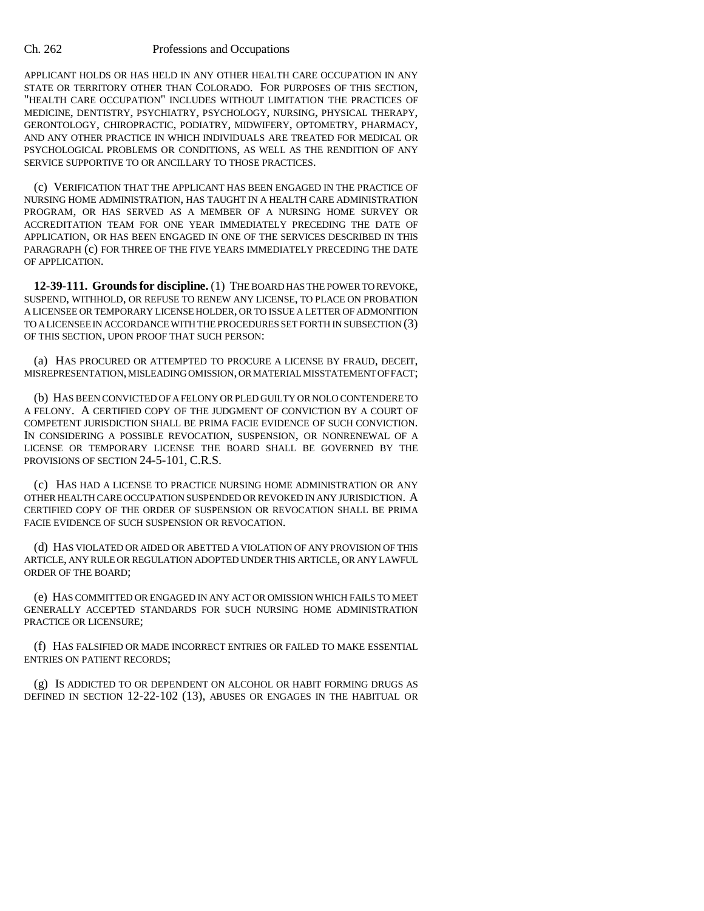APPLICANT HOLDS OR HAS HELD IN ANY OTHER HEALTH CARE OCCUPATION IN ANY STATE OR TERRITORY OTHER THAN COLORADO. FOR PURPOSES OF THIS SECTION, "HEALTH CARE OCCUPATION" INCLUDES WITHOUT LIMITATION THE PRACTICES OF MEDICINE, DENTISTRY, PSYCHIATRY, PSYCHOLOGY, NURSING, PHYSICAL THERAPY, GERONTOLOGY, CHIROPRACTIC, PODIATRY, MIDWIFERY, OPTOMETRY, PHARMACY, AND ANY OTHER PRACTICE IN WHICH INDIVIDUALS ARE TREATED FOR MEDICAL OR PSYCHOLOGICAL PROBLEMS OR CONDITIONS, AS WELL AS THE RENDITION OF ANY SERVICE SUPPORTIVE TO OR ANCILLARY TO THOSE PRACTICES.

(c) VERIFICATION THAT THE APPLICANT HAS BEEN ENGAGED IN THE PRACTICE OF NURSING HOME ADMINISTRATION, HAS TAUGHT IN A HEALTH CARE ADMINISTRATION PROGRAM, OR HAS SERVED AS A MEMBER OF A NURSING HOME SURVEY OR ACCREDITATION TEAM FOR ONE YEAR IMMEDIATELY PRECEDING THE DATE OF APPLICATION, OR HAS BEEN ENGAGED IN ONE OF THE SERVICES DESCRIBED IN THIS PARAGRAPH (c) FOR THREE OF THE FIVE YEARS IMMEDIATELY PRECEDING THE DATE OF APPLICATION.

**12-39-111. Grounds for discipline.** (1) THE BOARD HAS THE POWER TO REVOKE, SUSPEND, WITHHOLD, OR REFUSE TO RENEW ANY LICENSE, TO PLACE ON PROBATION A LICENSEE OR TEMPORARY LICENSE HOLDER, OR TO ISSUE A LETTER OF ADMONITION TO A LICENSEE IN ACCORDANCE WITH THE PROCEDURES SET FORTH IN SUBSECTION (3) OF THIS SECTION, UPON PROOF THAT SUCH PERSON:

(a) HAS PROCURED OR ATTEMPTED TO PROCURE A LICENSE BY FRAUD, DECEIT, MISREPRESENTATION, MISLEADING OMISSION, OR MATERIAL MISSTATEMENT OF FACT;

(b) HAS BEEN CONVICTED OF A FELONY OR PLED GUILTY OR NOLO CONTENDERE TO A FELONY. A CERTIFIED COPY OF THE JUDGMENT OF CONVICTION BY A COURT OF COMPETENT JURISDICTION SHALL BE PRIMA FACIE EVIDENCE OF SUCH CONVICTION. IN CONSIDERING A POSSIBLE REVOCATION, SUSPENSION, OR NONRENEWAL OF A LICENSE OR TEMPORARY LICENSE THE BOARD SHALL BE GOVERNED BY THE PROVISIONS OF SECTION 24-5-101, C.R.S.

(c) HAS HAD A LICENSE TO PRACTICE NURSING HOME ADMINISTRATION OR ANY OTHER HEALTH CARE OCCUPATION SUSPENDED OR REVOKED IN ANY JURISDICTION. A CERTIFIED COPY OF THE ORDER OF SUSPENSION OR REVOCATION SHALL BE PRIMA FACIE EVIDENCE OF SUCH SUSPENSION OR REVOCATION.

(d) HAS VIOLATED OR AIDED OR ABETTED A VIOLATION OF ANY PROVISION OF THIS ARTICLE, ANY RULE OR REGULATION ADOPTED UNDER THIS ARTICLE, OR ANY LAWFUL ORDER OF THE BOARD;

(e) HAS COMMITTED OR ENGAGED IN ANY ACT OR OMISSION WHICH FAILS TO MEET GENERALLY ACCEPTED STANDARDS FOR SUCH NURSING HOME ADMINISTRATION PRACTICE OR LICENSURE;

(f) HAS FALSIFIED OR MADE INCORRECT ENTRIES OR FAILED TO MAKE ESSENTIAL ENTRIES ON PATIENT RECORDS;

(g) IS ADDICTED TO OR DEPENDENT ON ALCOHOL OR HABIT FORMING DRUGS AS DEFINED IN SECTION 12-22-102 (13), ABUSES OR ENGAGES IN THE HABITUAL OR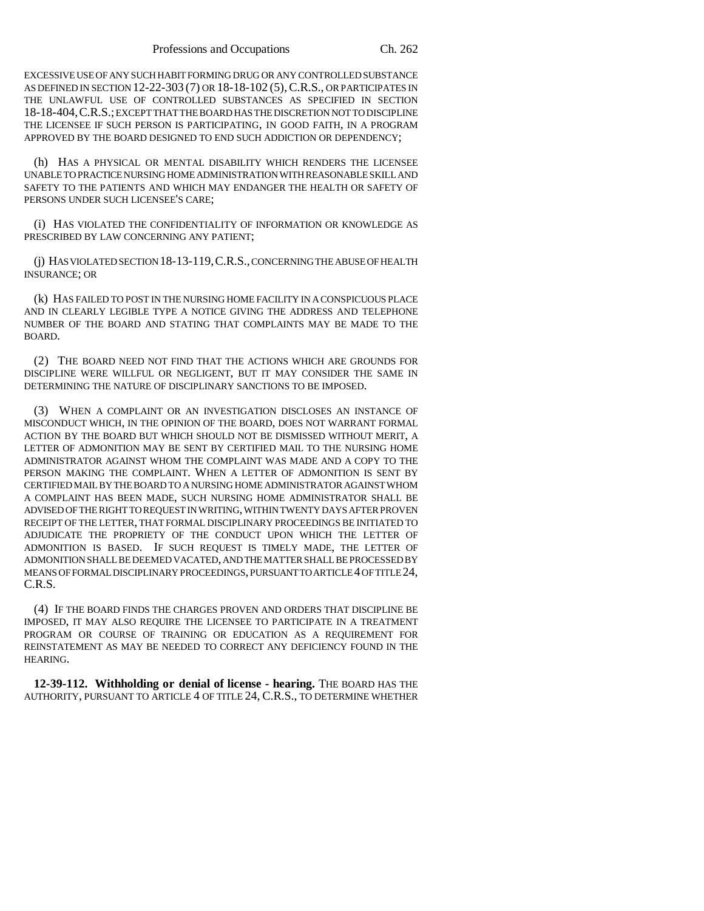EXCESSIVE USE OF ANY SUCH HABIT FORMING DRUG OR ANY CONTROLLED SUBSTANCE AS DEFINED IN SECTION 12-22-303 (7) OR 18-18-102 (5),C.R.S., OR PARTICIPATES IN THE UNLAWFUL USE OF CONTROLLED SUBSTANCES AS SPECIFIED IN SECTION 18-18-404,C.R.S.; EXCEPT THAT THE BOARD HAS THE DISCRETION NOT TO DISCIPLINE THE LICENSEE IF SUCH PERSON IS PARTICIPATING, IN GOOD FAITH, IN A PROGRAM APPROVED BY THE BOARD DESIGNED TO END SUCH ADDICTION OR DEPENDENCY;

(h) HAS A PHYSICAL OR MENTAL DISABILITY WHICH RENDERS THE LICENSEE UNABLE TO PRACTICE NURSING HOME ADMINISTRATION WITH REASONABLE SKILL AND SAFETY TO THE PATIENTS AND WHICH MAY ENDANGER THE HEALTH OR SAFETY OF PERSONS UNDER SUCH LICENSEE'S CARE;

(i) HAS VIOLATED THE CONFIDENTIALITY OF INFORMATION OR KNOWLEDGE AS PRESCRIBED BY LAW CONCERNING ANY PATIENT;

(j) HAS VIOLATED SECTION 18-13-119,C.R.S., CONCERNING THE ABUSE OF HEALTH INSURANCE; OR

(k) HAS FAILED TO POST IN THE NURSING HOME FACILITY IN A CONSPICUOUS PLACE AND IN CLEARLY LEGIBLE TYPE A NOTICE GIVING THE ADDRESS AND TELEPHONE NUMBER OF THE BOARD AND STATING THAT COMPLAINTS MAY BE MADE TO THE BOARD.

(2) THE BOARD NEED NOT FIND THAT THE ACTIONS WHICH ARE GROUNDS FOR DISCIPLINE WERE WILLFUL OR NEGLIGENT, BUT IT MAY CONSIDER THE SAME IN DETERMINING THE NATURE OF DISCIPLINARY SANCTIONS TO BE IMPOSED.

(3) WHEN A COMPLAINT OR AN INVESTIGATION DISCLOSES AN INSTANCE OF MISCONDUCT WHICH, IN THE OPINION OF THE BOARD, DOES NOT WARRANT FORMAL ACTION BY THE BOARD BUT WHICH SHOULD NOT BE DISMISSED WITHOUT MERIT, A LETTER OF ADMONITION MAY BE SENT BY CERTIFIED MAIL TO THE NURSING HOME ADMINISTRATOR AGAINST WHOM THE COMPLAINT WAS MADE AND A COPY TO THE PERSON MAKING THE COMPLAINT. WHEN A LETTER OF ADMONITION IS SENT BY CERTIFIED MAIL BY THE BOARD TO A NURSING HOME ADMINISTRATOR AGAINST WHOM A COMPLAINT HAS BEEN MADE, SUCH NURSING HOME ADMINISTRATOR SHALL BE ADVISED OF THE RIGHT TO REQUEST IN WRITING, WITHIN TWENTY DAYS AFTER PROVEN RECEIPT OF THE LETTER, THAT FORMAL DISCIPLINARY PROCEEDINGS BE INITIATED TO ADJUDICATE THE PROPRIETY OF THE CONDUCT UPON WHICH THE LETTER OF ADMONITION IS BASED. IF SUCH REQUEST IS TIMELY MADE, THE LETTER OF ADMONITION SHALL BE DEEMED VACATED, AND THE MATTER SHALL BE PROCESSED BY MEANS OF FORMAL DISCIPLINARY PROCEEDINGS, PURSUANT TO ARTICLE 4 OF TITLE 24, C.R.S.

(4) IF THE BOARD FINDS THE CHARGES PROVEN AND ORDERS THAT DISCIPLINE BE IMPOSED, IT MAY ALSO REQUIRE THE LICENSEE TO PARTICIPATE IN A TREATMENT PROGRAM OR COURSE OF TRAINING OR EDUCATION AS A REQUIREMENT FOR REINSTATEMENT AS MAY BE NEEDED TO CORRECT ANY DEFICIENCY FOUND IN THE HEARING.

**12-39-112. Withholding or denial of license - hearing.** THE BOARD HAS THE AUTHORITY, PURSUANT TO ARTICLE 4 OF TITLE 24, C.R.S., TO DETERMINE WHETHER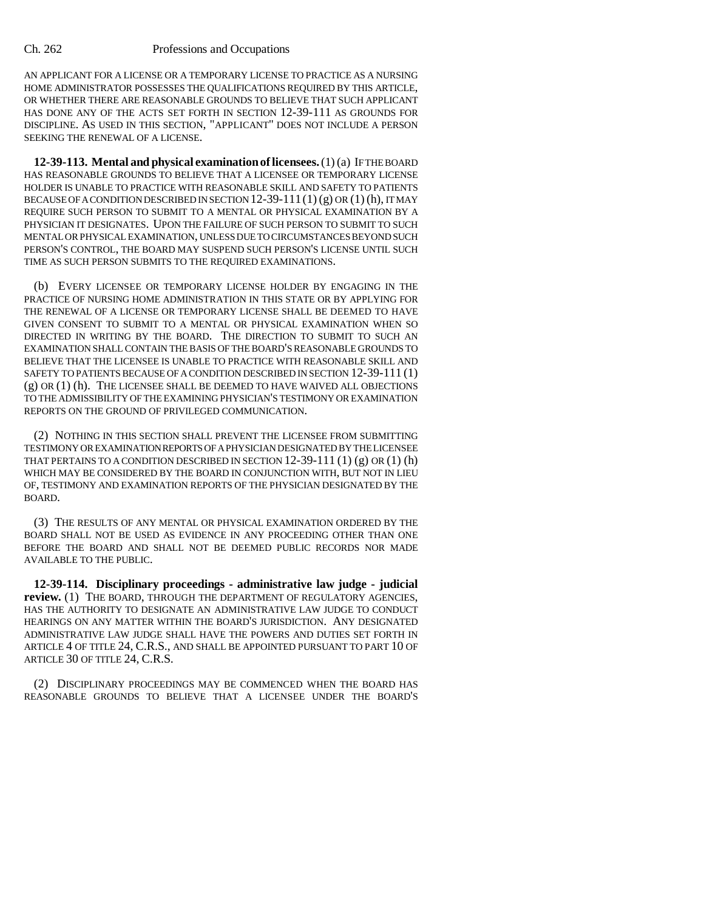AN APPLICANT FOR A LICENSE OR A TEMPORARY LICENSE TO PRACTICE AS A NURSING HOME ADMINISTRATOR POSSESSES THE QUALIFICATIONS REQUIRED BY THIS ARTICLE, OR WHETHER THERE ARE REASONABLE GROUNDS TO BELIEVE THAT SUCH APPLICANT HAS DONE ANY OF THE ACTS SET FORTH IN SECTION 12-39-111 AS GROUNDS FOR DISCIPLINE. AS USED IN THIS SECTION, "APPLICANT" DOES NOT INCLUDE A PERSON SEEKING THE RENEWAL OF A LICENSE.

**12-39-113. Mental and physical examination of licensees.** (1) (a) IF THE BOARD HAS REASONABLE GROUNDS TO BELIEVE THAT A LICENSEE OR TEMPORARY LICENSE HOLDER IS UNABLE TO PRACTICE WITH REASONABLE SKILL AND SAFETY TO PATIENTS BECAUSE OF A CONDITION DESCRIBED IN SECTION  $12-39-111(1)(g)$  OR  $(1)(h)$ , IT MAY REQUIRE SUCH PERSON TO SUBMIT TO A MENTAL OR PHYSICAL EXAMINATION BY A PHYSICIAN IT DESIGNATES. UPON THE FAILURE OF SUCH PERSON TO SUBMIT TO SUCH MENTAL OR PHYSICAL EXAMINATION, UNLESS DUE TO CIRCUMSTANCES BEYOND SUCH PERSON'S CONTROL, THE BOARD MAY SUSPEND SUCH PERSON'S LICENSE UNTIL SUCH TIME AS SUCH PERSON SUBMITS TO THE REQUIRED EXAMINATIONS.

(b) EVERY LICENSEE OR TEMPORARY LICENSE HOLDER BY ENGAGING IN THE PRACTICE OF NURSING HOME ADMINISTRATION IN THIS STATE OR BY APPLYING FOR THE RENEWAL OF A LICENSE OR TEMPORARY LICENSE SHALL BE DEEMED TO HAVE GIVEN CONSENT TO SUBMIT TO A MENTAL OR PHYSICAL EXAMINATION WHEN SO DIRECTED IN WRITING BY THE BOARD. THE DIRECTION TO SUBMIT TO SUCH AN EXAMINATION SHALL CONTAIN THE BASIS OF THE BOARD'S REASONABLE GROUNDS TO BELIEVE THAT THE LICENSEE IS UNABLE TO PRACTICE WITH REASONABLE SKILL AND SAFETY TO PATIENTS BECAUSE OF A CONDITION DESCRIBED IN SECTION 12-39-111 (1) (g) OR (1) (h). THE LICENSEE SHALL BE DEEMED TO HAVE WAIVED ALL OBJECTIONS TO THE ADMISSIBILITY OF THE EXAMINING PHYSICIAN'S TESTIMONY OR EXAMINATION REPORTS ON THE GROUND OF PRIVILEGED COMMUNICATION.

(2) NOTHING IN THIS SECTION SHALL PREVENT THE LICENSEE FROM SUBMITTING TESTIMONY OR EXAMINATION REPORTS OF A PHYSICIAN DESIGNATED BY THE LICENSEE THAT PERTAINS TO A CONDITION DESCRIBED IN SECTION  $12-39-111$  (1) (g) OR (1) (h) WHICH MAY BE CONSIDERED BY THE BOARD IN CONJUNCTION WITH, BUT NOT IN LIEU OF, TESTIMONY AND EXAMINATION REPORTS OF THE PHYSICIAN DESIGNATED BY THE BOARD.

(3) THE RESULTS OF ANY MENTAL OR PHYSICAL EXAMINATION ORDERED BY THE BOARD SHALL NOT BE USED AS EVIDENCE IN ANY PROCEEDING OTHER THAN ONE BEFORE THE BOARD AND SHALL NOT BE DEEMED PUBLIC RECORDS NOR MADE AVAILABLE TO THE PUBLIC.

**12-39-114. Disciplinary proceedings - administrative law judge - judicial review.** (1) THE BOARD, THROUGH THE DEPARTMENT OF REGULATORY AGENCIES, HAS THE AUTHORITY TO DESIGNATE AN ADMINISTRATIVE LAW JUDGE TO CONDUCT HEARINGS ON ANY MATTER WITHIN THE BOARD'S JURISDICTION. ANY DESIGNATED ADMINISTRATIVE LAW JUDGE SHALL HAVE THE POWERS AND DUTIES SET FORTH IN ARTICLE 4 OF TITLE 24, C.R.S., AND SHALL BE APPOINTED PURSUANT TO PART 10 OF ARTICLE 30 OF TITLE 24, C.R.S.

(2) DISCIPLINARY PROCEEDINGS MAY BE COMMENCED WHEN THE BOARD HAS REASONABLE GROUNDS TO BELIEVE THAT A LICENSEE UNDER THE BOARD'S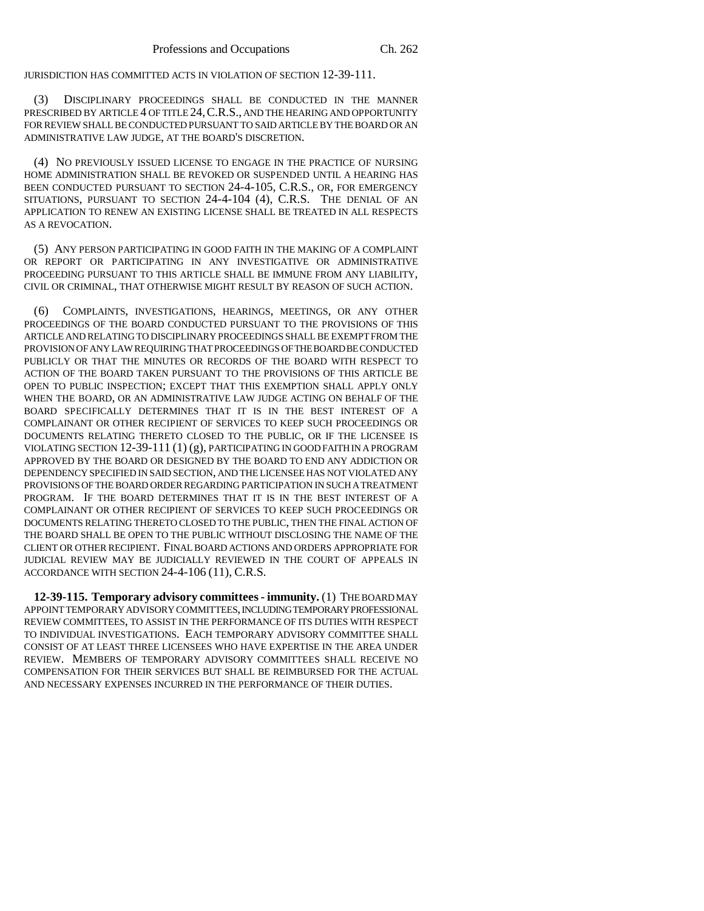JURISDICTION HAS COMMITTED ACTS IN VIOLATION OF SECTION 12-39-111.

(3) DISCIPLINARY PROCEEDINGS SHALL BE CONDUCTED IN THE MANNER PRESCRIBED BY ARTICLE 4 OF TITLE 24,C.R.S., AND THE HEARING AND OPPORTUNITY FOR REVIEW SHALL BE CONDUCTED PURSUANT TO SAID ARTICLE BY THE BOARD OR AN ADMINISTRATIVE LAW JUDGE, AT THE BOARD'S DISCRETION.

(4) NO PREVIOUSLY ISSUED LICENSE TO ENGAGE IN THE PRACTICE OF NURSING HOME ADMINISTRATION SHALL BE REVOKED OR SUSPENDED UNTIL A HEARING HAS BEEN CONDUCTED PURSUANT TO SECTION 24-4-105, C.R.S., OR, FOR EMERGENCY SITUATIONS, PURSUANT TO SECTION 24-4-104 (4), C.R.S. THE DENIAL OF AN APPLICATION TO RENEW AN EXISTING LICENSE SHALL BE TREATED IN ALL RESPECTS AS A REVOCATION.

(5) ANY PERSON PARTICIPATING IN GOOD FAITH IN THE MAKING OF A COMPLAINT OR REPORT OR PARTICIPATING IN ANY INVESTIGATIVE OR ADMINISTRATIVE PROCEEDING PURSUANT TO THIS ARTICLE SHALL BE IMMUNE FROM ANY LIABILITY, CIVIL OR CRIMINAL, THAT OTHERWISE MIGHT RESULT BY REASON OF SUCH ACTION.

(6) COMPLAINTS, INVESTIGATIONS, HEARINGS, MEETINGS, OR ANY OTHER PROCEEDINGS OF THE BOARD CONDUCTED PURSUANT TO THE PROVISIONS OF THIS ARTICLE AND RELATING TO DISCIPLINARY PROCEEDINGS SHALL BE EXEMPT FROM THE PROVISION OF ANY LAW REQUIRING THAT PROCEEDINGS OF THE BOARD BE CONDUCTED PUBLICLY OR THAT THE MINUTES OR RECORDS OF THE BOARD WITH RESPECT TO ACTION OF THE BOARD TAKEN PURSUANT TO THE PROVISIONS OF THIS ARTICLE BE OPEN TO PUBLIC INSPECTION; EXCEPT THAT THIS EXEMPTION SHALL APPLY ONLY WHEN THE BOARD, OR AN ADMINISTRATIVE LAW JUDGE ACTING ON BEHALF OF THE BOARD SPECIFICALLY DETERMINES THAT IT IS IN THE BEST INTEREST OF A COMPLAINANT OR OTHER RECIPIENT OF SERVICES TO KEEP SUCH PROCEEDINGS OR DOCUMENTS RELATING THERETO CLOSED TO THE PUBLIC, OR IF THE LICENSEE IS VIOLATING SECTION 12-39-111 (1) (g), PARTICIPATING IN GOOD FAITH IN A PROGRAM APPROVED BY THE BOARD OR DESIGNED BY THE BOARD TO END ANY ADDICTION OR DEPENDENCY SPECIFIED IN SAID SECTION, AND THE LICENSEE HAS NOT VIOLATED ANY PROVISIONS OF THE BOARD ORDER REGARDING PARTICIPATION IN SUCH A TREATMENT PROGRAM. IF THE BOARD DETERMINES THAT IT IS IN THE BEST INTEREST OF A COMPLAINANT OR OTHER RECIPIENT OF SERVICES TO KEEP SUCH PROCEEDINGS OR DOCUMENTS RELATING THERETO CLOSED TO THE PUBLIC, THEN THE FINAL ACTION OF THE BOARD SHALL BE OPEN TO THE PUBLIC WITHOUT DISCLOSING THE NAME OF THE CLIENT OR OTHER RECIPIENT. FINAL BOARD ACTIONS AND ORDERS APPROPRIATE FOR JUDICIAL REVIEW MAY BE JUDICIALLY REVIEWED IN THE COURT OF APPEALS IN ACCORDANCE WITH SECTION 24-4-106 (11), C.R.S.

**12-39-115. Temporary advisory committees - immunity.** (1) THE BOARD MAY APPOINT TEMPORARY ADVISORY COMMITTEES, INCLUDING TEMPORARY PROFESSIONAL REVIEW COMMITTEES, TO ASSIST IN THE PERFORMANCE OF ITS DUTIES WITH RESPECT TO INDIVIDUAL INVESTIGATIONS. EACH TEMPORARY ADVISORY COMMITTEE SHALL CONSIST OF AT LEAST THREE LICENSEES WHO HAVE EXPERTISE IN THE AREA UNDER REVIEW. MEMBERS OF TEMPORARY ADVISORY COMMITTEES SHALL RECEIVE NO COMPENSATION FOR THEIR SERVICES BUT SHALL BE REIMBURSED FOR THE ACTUAL AND NECESSARY EXPENSES INCURRED IN THE PERFORMANCE OF THEIR DUTIES.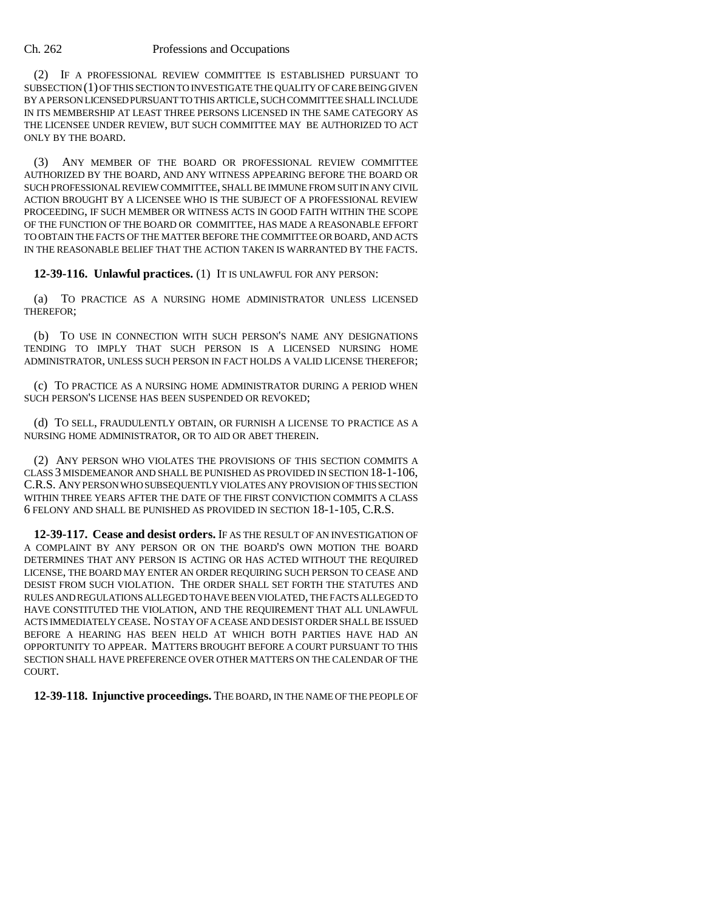(2) IF A PROFESSIONAL REVIEW COMMITTEE IS ESTABLISHED PURSUANT TO SUBSECTION (1) OF THIS SECTION TO INVESTIGATE THE QUALITY OF CARE BEING GIVEN BY A PERSON LICENSED PURSUANT TO THIS ARTICLE, SUCH COMMITTEE SHALL INCLUDE IN ITS MEMBERSHIP AT LEAST THREE PERSONS LICENSED IN THE SAME CATEGORY AS THE LICENSEE UNDER REVIEW, BUT SUCH COMMITTEE MAY BE AUTHORIZED TO ACT ONLY BY THE BOARD.

(3) ANY MEMBER OF THE BOARD OR PROFESSIONAL REVIEW COMMITTEE AUTHORIZED BY THE BOARD, AND ANY WITNESS APPEARING BEFORE THE BOARD OR SUCH PROFESSIONAL REVIEW COMMITTEE, SHALL BE IMMUNE FROM SUIT IN ANY CIVIL ACTION BROUGHT BY A LICENSEE WHO IS THE SUBJECT OF A PROFESSIONAL REVIEW PROCEEDING, IF SUCH MEMBER OR WITNESS ACTS IN GOOD FAITH WITHIN THE SCOPE OF THE FUNCTION OF THE BOARD OR COMMITTEE, HAS MADE A REASONABLE EFFORT TO OBTAIN THE FACTS OF THE MATTER BEFORE THE COMMITTEE OR BOARD, AND ACTS IN THE REASONABLE BELIEF THAT THE ACTION TAKEN IS WARRANTED BY THE FACTS.

**12-39-116. Unlawful practices.** (1) IT IS UNLAWFUL FOR ANY PERSON:

(a) TO PRACTICE AS A NURSING HOME ADMINISTRATOR UNLESS LICENSED THEREFOR;

(b) TO USE IN CONNECTION WITH SUCH PERSON'S NAME ANY DESIGNATIONS TENDING TO IMPLY THAT SUCH PERSON IS A LICENSED NURSING HOME ADMINISTRATOR, UNLESS SUCH PERSON IN FACT HOLDS A VALID LICENSE THEREFOR;

(c) TO PRACTICE AS A NURSING HOME ADMINISTRATOR DURING A PERIOD WHEN SUCH PERSON'S LICENSE HAS BEEN SUSPENDED OR REVOKED;

(d) TO SELL, FRAUDULENTLY OBTAIN, OR FURNISH A LICENSE TO PRACTICE AS A NURSING HOME ADMINISTRATOR, OR TO AID OR ABET THEREIN.

(2) ANY PERSON WHO VIOLATES THE PROVISIONS OF THIS SECTION COMMITS A CLASS 3 MISDEMEANOR AND SHALL BE PUNISHED AS PROVIDED IN SECTION 18-1-106, C.R.S. ANY PERSON WHO SUBSEQUENTLY VIOLATES ANY PROVISION OF THIS SECTION WITHIN THREE YEARS AFTER THE DATE OF THE FIRST CONVICTION COMMITS A CLASS 6 FELONY AND SHALL BE PUNISHED AS PROVIDED IN SECTION 18-1-105, C.R.S.

**12-39-117. Cease and desist orders.** IF AS THE RESULT OF AN INVESTIGATION OF A COMPLAINT BY ANY PERSON OR ON THE BOARD'S OWN MOTION THE BOARD DETERMINES THAT ANY PERSON IS ACTING OR HAS ACTED WITHOUT THE REQUIRED LICENSE, THE BOARD MAY ENTER AN ORDER REQUIRING SUCH PERSON TO CEASE AND DESIST FROM SUCH VIOLATION. THE ORDER SHALL SET FORTH THE STATUTES AND RULES AND REGULATIONS ALLEGED TO HAVE BEEN VIOLATED, THE FACTS ALLEGED TO HAVE CONSTITUTED THE VIOLATION, AND THE REQUIREMENT THAT ALL UNLAWFUL ACTS IMMEDIATELY CEASE. NO STAY OF A CEASE AND DESIST ORDER SHALL BE ISSUED BEFORE A HEARING HAS BEEN HELD AT WHICH BOTH PARTIES HAVE HAD AN OPPORTUNITY TO APPEAR. MATTERS BROUGHT BEFORE A COURT PURSUANT TO THIS SECTION SHALL HAVE PREFERENCE OVER OTHER MATTERS ON THE CALENDAR OF THE COURT.

**12-39-118. Injunctive proceedings.** THE BOARD, IN THE NAME OF THE PEOPLE OF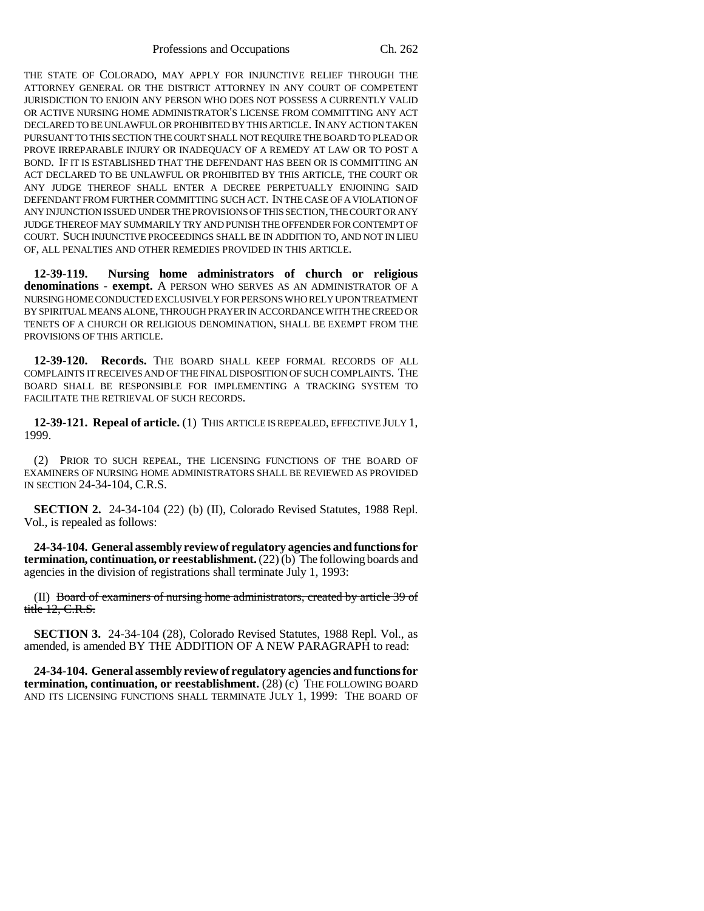THE STATE OF COLORADO, MAY APPLY FOR INJUNCTIVE RELIEF THROUGH THE ATTORNEY GENERAL OR THE DISTRICT ATTORNEY IN ANY COURT OF COMPETENT JURISDICTION TO ENJOIN ANY PERSON WHO DOES NOT POSSESS A CURRENTLY VALID OR ACTIVE NURSING HOME ADMINISTRATOR'S LICENSE FROM COMMITTING ANY ACT DECLARED TO BE UNLAWFUL OR PROHIBITED BY THIS ARTICLE. IN ANY ACTION TAKEN PURSUANT TO THIS SECTION THE COURT SHALL NOT REQUIRE THE BOARD TO PLEAD OR PROVE IRREPARABLE INJURY OR INADEQUACY OF A REMEDY AT LAW OR TO POST A BOND. IF IT IS ESTABLISHED THAT THE DEFENDANT HAS BEEN OR IS COMMITTING AN ACT DECLARED TO BE UNLAWFUL OR PROHIBITED BY THIS ARTICLE, THE COURT OR ANY JUDGE THEREOF SHALL ENTER A DECREE PERPETUALLY ENJOINING SAID DEFENDANT FROM FURTHER COMMITTING SUCH ACT. IN THE CASE OF A VIOLATION OF ANY INJUNCTION ISSUED UNDER THE PROVISIONS OF THIS SECTION, THE COURT OR ANY JUDGE THEREOF MAY SUMMARILY TRY AND PUNISH THE OFFENDER FOR CONTEMPT OF COURT. SUCH INJUNCTIVE PROCEEDINGS SHALL BE IN ADDITION TO, AND NOT IN LIEU OF, ALL PENALTIES AND OTHER REMEDIES PROVIDED IN THIS ARTICLE.

**12-39-119. Nursing home administrators of church or religious denominations - exempt.** A PERSON WHO SERVES AS AN ADMINISTRATOR OF A NURSING HOME CONDUCTED EXCLUSIVELY FOR PERSONS WHO RELY UPON TREATMENT BY SPIRITUAL MEANS ALONE, THROUGH PRAYER IN ACCORDANCE WITH THE CREED OR TENETS OF A CHURCH OR RELIGIOUS DENOMINATION, SHALL BE EXEMPT FROM THE PROVISIONS OF THIS ARTICLE.

**12-39-120. Records.** THE BOARD SHALL KEEP FORMAL RECORDS OF ALL COMPLAINTS IT RECEIVES AND OF THE FINAL DISPOSITION OF SUCH COMPLAINTS. THE BOARD SHALL BE RESPONSIBLE FOR IMPLEMENTING A TRACKING SYSTEM TO FACILITATE THE RETRIEVAL OF SUCH RECORDS.

**12-39-121. Repeal of article.** (1) THIS ARTICLE IS REPEALED, EFFECTIVE JULY 1, 1999.

(2) PRIOR TO SUCH REPEAL, THE LICENSING FUNCTIONS OF THE BOARD OF EXAMINERS OF NURSING HOME ADMINISTRATORS SHALL BE REVIEWED AS PROVIDED IN SECTION 24-34-104, C.R.S.

**SECTION 2.** 24-34-104 (22) (b) (II), Colorado Revised Statutes, 1988 Repl. Vol., is repealed as follows:

**24-34-104. General assembly review of regulatory agencies and functions for termination, continuation, or reestablishment.** (22) (b) The following boards and agencies in the division of registrations shall terminate July 1, 1993:

(II) Board of examiners of nursing home administrators, created by article 39 of title 12, C.R.S.

**SECTION 3.** 24-34-104 (28), Colorado Revised Statutes, 1988 Repl. Vol., as amended, is amended BY THE ADDITION OF A NEW PARAGRAPH to read:

**24-34-104. General assembly review of regulatory agencies and functions for termination, continuation, or reestablishment.** (28) (c) THE FOLLOWING BOARD AND ITS LICENSING FUNCTIONS SHALL TERMINATE JULY 1, 1999: THE BOARD OF